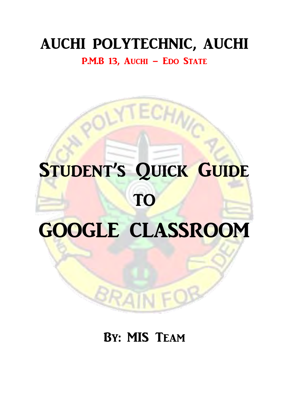## AUCHI POLYTECHNIC, AUCHI

P.M.B 13, Auchi - Edo State

CHNC

# STUDENT'S QUICK GUIDE TO GOOGLE CLASSROOM

### By: MIS Team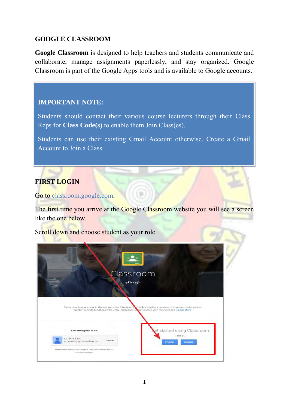#### **GOOGLE CLASSROOM**

**Google Classroom** is designed to help teachers and students communicate and collaborate, manage assignments paperlessly, and stay organized. Google Classroom is part of the Google Apps tools and is available to Google accounts.

#### **IMPORTANT NOTE:**

Students should contact their various course lecturers through their Class Reps for **Class Code(s)** to enable them Join Class(es).

Students can use their existing Gmail Account otherwise, Create a Gmail Account to Join a Class.

#### **FIRST LOGIN**

Go to classroom.google.com.

The first time you arrive at the Google Classroom website you will see a screen like the one below.

Scroll down and choose student as your role.

|                       | Classroom                                                                                                                                                                                                            |
|-----------------------|----------------------------------------------------------------------------------------------------------------------------------------------------------------------------------------------------------------------|
|                       | by Google<br>Classroom is a new tool in Google Apps for Education mat helps teachers create and organize assignments<br>quickly, provide feedback efficiently, and easily communicate with their classes. Learn More |
|                       |                                                                                                                                                                                                                      |
| You are signed in as: | et started using Classroom.<br>$l$ am $a$                                                                                                                                                                            |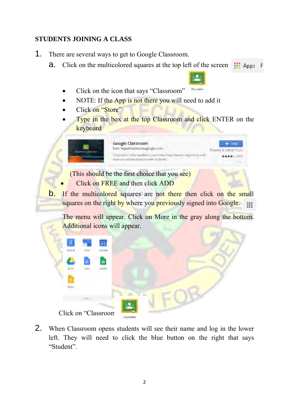#### **STUDENTS JOINING A CLASS**

- 1. There are several ways to get to Google Classroom.
	- **a.** Click on the multicolored squares at the top left of the screen  $\frac{11}{112}$  Apps
		- Click on the icon that says "Classroom"
		- NOTE: If the App is not there you will need to add it
		- Click on "Store"
		- Type in the box at the top Classroom and click ENTER on the keyboard



Click on FREE and then click ADD

**b.** If the multicolored squares are not there then click on the small squares on the right by where you previously signed into Google.  $\sim 100$ 

The menu will appear. Click on More in the gray along the bottom. Additional icons will appear.

| 8      |          | 31                  |                  |  |  |
|--------|----------|---------------------|------------------|--|--|
| Száith | Sites    | Calendar            |                  |  |  |
|        | $\equiv$ | $\blacksquare$      |                  |  |  |
| D-vs.  | Docs:    | Sheets              |                  |  |  |
| ▫      |          |                     |                  |  |  |
| Sites  |          |                     |                  |  |  |
|        | Sitte.   |                     |                  |  |  |
|        |          |                     |                  |  |  |
|        |          | Click on "Classroom | <b>CASSESSIN</b> |  |  |

2. When Classroom opens students will see their name and log in the lower left. They will need to click the blue button on the right that says "Student".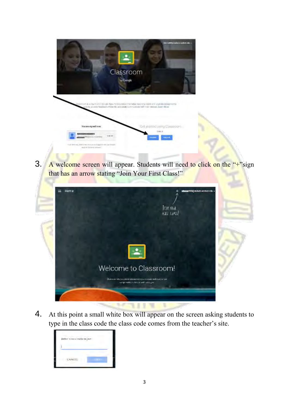

3. A welcome screen will appear. Students will need to click on the "+"sign that has an arrow stating "Join Your First Class!"



4. At this point a small white box will appear on the screen asking students to type in the class code the class code comes from the teacher's site.

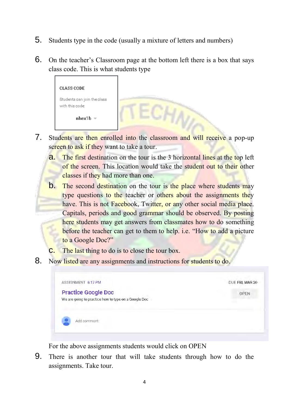- 5. Students type in the code (usually a mixture of letters and numbers)
- 6. On the teacher's Classroom page at the bottom left there is a box that says class code. This is what students type

| <b>CLASS CODE</b>                              |  |
|------------------------------------------------|--|
| Students can join the class<br>with this code: |  |
| $nhex1b =$                                     |  |

- 7. Students are then enrolled into the classroom and will receive a pop-up screen to ask if they want to take a tour.
	- **a.** The first destination on the tour is the 3 horizontal lines at the top left of the screen. This location would take the student out to their other classes if they had more than one.
	- **b.** The second destination on the tour is the place where students may type questions to the teacher or others about the assignments they have. This is not Facebook, Twitter, or any other social media place. Capitals, periods and good grammar should be observed. By posting here students may get answers from classmates how to do something before the teacher can get to them to help. i.e. "How to add a picture to a Google Doc?"
	- The last thing to do is to close the tour box.
- 8. Now listed are any assignments and instructions for students to do.



For the above assignments students would click on OPEN

9. There is another tour that will take students through how to do the assignments. Take tour.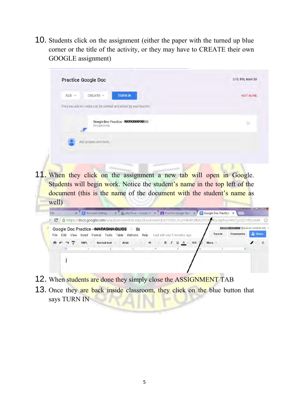10. Students click on the assignment (either the paper with the turned up blue corner or the title of the activity, or they may have to CREATE their own GOOGLE assignment)

| <b>Practice Google Doc</b>                                                   | DUE FRI, MAR 20 |
|------------------------------------------------------------------------------|-----------------|
| $ADD =$<br>CREATE =<br><b>TURN IN</b>                                        | <b>NOT DONE</b> |
| Files you add or create can be viewed and edited by your teacher.            |                 |
| Google Doc Practice - NXXXXXXXXXISS<br>Google Docs                           |                 |
| Add private comment                                                          |                 |
|                                                                              |                 |
|                                                                              |                 |
| 11. When they click on the assignment a new tab will open in Google.         |                 |
| Students will begin work. Notice the student's name in the top left of the   |                 |
| <b>document</b> (this is the name of the document with the student's name as |                 |



- 12. When students are done they simply close the ASSIGNMENT TAB
- 13. Once they are back inside classroom, they click on the blue button that says TURN IN